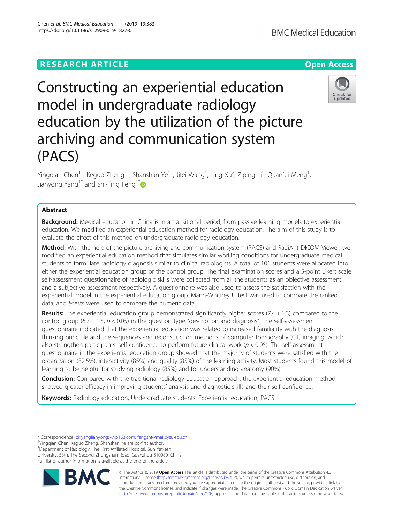# **RESEARCH ARTICLE Example 2014 12:30 The Contract of Contract ACCESS**

Constructing an experiential education model in undergraduate radiology education by the utilization of the picture archiving and communication system (PACS)

Yingqian Chen<sup>1†</sup>, Keguo Zheng<sup>1†</sup>, Shanshan Ye<sup>1†</sup>, Jifei Wang<sup>1</sup>, Ling Xu<sup>2</sup>, Ziping Li<sup>1</sup>, Quanfei Meng<sup>1</sup> , Jianyong Yang<sup>1\*</sup> and Shi-Ting Feng<sup>1\*</sup>

# Abstract

**Background:** Medical education in China is in a transitional period, from passive learning models to experiential education. We modified an experiential education method for radiology education. The aim of this study is to evaluate the effect of this method on undergraduate radiology education.

**Method:** With the help of the picture archiving and communication system (PACS) and RadiAnt DICOM Viewer, we modified an experiential education method that simulates similar working conditions for undergraduate medical students to formulate radiology diagnosis similar to clinical radiologists. A total of 101 students were allocated into either the experiential education group or the control group. The final examination scores and a 5-point Likert scale self-assessment questionnaire of radiologic skills were collected from all the students as an objective assessment and a subjective assessment respectively. A questionnaire was also used to assess the satisfaction with the experiential model in the experiential education group. Mann-Whitney U test was used to compare the ranked data, and t-tests were used to compare the numeric data.

**Results:** The experiential education group demonstrated significantly higher scores (7.4  $\pm$  1.3) compared to the control group (6.7  $\pm$  1.5, p < 0.05) in the question type "description and diagnosis". The self-assessment questionnaire indicated that the experiential education was related to increased familiarity with the diagnosis thinking principle and the sequences and reconstruction methods of computer tomography (CT) imaging, which also strengthen participants' self-confidence to perform future clinical work (p < 0.05). The self-assessment questionnaire in the experiential education group showed that the majority of students were satisfied with the organization (82.5%), interactivity (85%) and quality (85%) of the learning activity. Most students found this model of learning to be helpful for studying radiology (85%) and for understanding anatomy (90%).

**Conclusion:** Compared with the traditional radiology education approach, the experiential education method showed greater efficacy in improving students' analysis and diagnostic skills and their self-confidence.

Keywords: Radiology education, Undergraduate students, Experiential education, PACS

<sup>1</sup>Department of Radiology, The First Affiliated Hospital, Sun Yat-sen

University, 58th, The Second Zhongshan Road, Guanzhou 510080, China Full list of author information is available at the end of the article

> © The Author(s). 2019 **Open Access** This article is distributed under the terms of the Creative Commons Attribution 4.0 International License [\(http://creativecommons.org/licenses/by/4.0/](http://creativecommons.org/licenses/by/4.0/)), which permits unrestricted use, distribution, and reproduction in any medium, provided you give appropriate credit to the original author(s) and the source, provide a link to the Creative Commons license, and indicate if changes were made. The Creative Commons Public Domain Dedication waiver [\(http://creativecommons.org/publicdomain/zero/1.0/](http://creativecommons.org/publicdomain/zero/1.0/)) applies to the data made available in this article, unless otherwise stated.





<sup>\*</sup> Correspondence: [cjr.yangjianyong@vip.163.com](mailto:cjr.yangjianyong@vip.163.com); [fengsht@mail.sysu.edu.cn](mailto:fengsht@mail.sysu.edu.cn) †

<sup>&</sup>lt;sup>†</sup>Yingqian Chen, Keguo Zheng, Shanshan Ye are co-first author.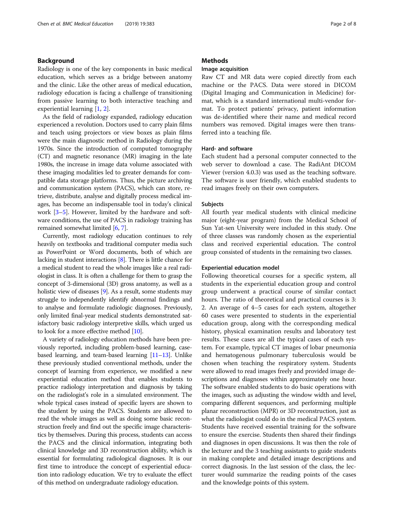# **Background**

Radiology is one of the key components in basic medical education, which serves as a bridge between anatomy and the clinic. Like the other areas of medical education, radiology education is facing a challenge of transitioning from passive learning to both interactive teaching and experiential learning [\[1](#page-6-0), [2](#page-6-0)].

As the field of radiology expanded, radiology education experienced a revolution. Doctors used to carry plain films and teach using projectors or view boxes as plain films were the main diagnostic method in Radiology during the 1970s. Since the introduction of computed tomography (CT) and magnetic resonance (MR) imaging in the late 1980s, the increase in image data volume associated with these imaging modalities led to greater demands for compatible data storage platforms. Thus, the picture archiving and communication system (PACS), which can store, retrieve, distribute, analyse and digitally process medical images, has become an indispensable tool in today's clinical work [\[3](#page-6-0)–[5](#page-6-0)]. However, limited by the hardware and software conditions, the use of PACS in radiology training has remained somewhat limited [[6,](#page-6-0) [7](#page-6-0)].

Currently, most radiology education continues to rely heavily on textbooks and traditional computer media such as PowerPoint or Word documents, both of which are lacking in student interactions [[8](#page-6-0)]. There is little chance for a medical student to read the whole images like a real radiologist in class. It is often a challenge for them to grasp the concept of 3-dimensional (3D) gross anatomy, as well as a holistic view of diseases [\[9](#page-7-0)]. As a result, some students may struggle to independently identify abnormal findings and to analyse and formulate radiologic diagnoses. Previously, only limited final-year medical students demonstrated satisfactory basic radiology interpretive skills, which urged us to look for a more effective method [\[10\]](#page-7-0).

A variety of radiology education methods have been previously reported, including problem-based learning, casebased learning, and team-based learning  $[11-13]$  $[11-13]$  $[11-13]$ . Unlike these previously studied conventional methods, under the concept of learning from experience, we modified a new experiential education method that enables students to practice radiology interpretation and diagnosis by taking on the radiologist's role in a simulated environment. The whole typical cases instead of specific layers are shown to the student by using the PACS. Students are allowed to read the whole images as well as doing some basic reconstruction freely and find out the specific image characteristics by themselves. During this process, students can access the PACS and the clinical information, integrating both clinical knowledge and 3D reconstruction ability, which is essential for formulating radiological diagnoses. It is our first time to introduce the concept of experiential education into radiology education. We try to evaluate the effect of this method on undergraduate radiology education.

# **Methods**

### Image acquisition

Raw CT and MR data were copied directly from each machine or the PACS. Data were stored in DICOM (Digital Imaging and Communication in Medicine) format, which is a standard international multi-vendor format. To protect patients' privacy, patient information was de-identified where their name and medical record numbers was removed. Digital images were then transferred into a teaching file.

# Hard- and software

Each student had a personal computer connected to the web server to download a case. The RadiAnt DICOM Viewer (version 4.0.3) was used as the teaching software. The software is user friendly, which enabled students to read images freely on their own computers.

# Subjects

All fourth year medical students with clinical medicine major (eight-year program) from the Medical School of Sun Yat-sen University were included in this study. One of three classes was randomly chosen as the experiential class and received experiential education. The control group consisted of students in the remaining two classes.

## Experiential education model

Following theoretical courses for a specific system, all students in the experiential education group and control group underwent a practical course of similar contact hours. The ratio of theoretical and practical courses is 3: 2. An average of 4–5 cases for each system, altogether 60 cases were presented to students in the experiential education group, along with the corresponding medical history, physical examination results and laboratory test results. These cases are all the typical cases of each system. For example, typical CT images of lobar pneumonia and hematogenous pulmonary tuberculosis would be chosen when teaching the respiratory system. Students were allowed to read images freely and provided image descriptions and diagnoses within approximately one hour. The software enabled students to do basic operations with the images, such as adjusting the window width and level, comparing different sequences, and performing multiple planar reconstruction (MPR) or 3D reconstruction, just as what the radiologist could do in the medical PACS system. Students have received essential training for the software to ensure the exercise. Students then shared their findings and diagnoses in open discussions. It was then the role of the lecturer and the 3 teaching assistants to guide students in making complete and detailed image descriptions and correct diagnosis. In the last session of the class, the lecturer would summarize the reading points of the cases and the knowledge points of this system.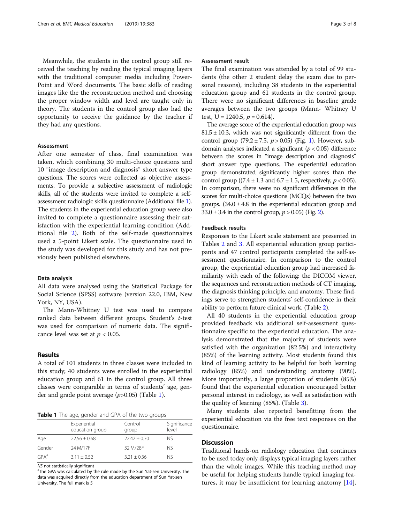Meanwhile, the students in the control group still received the teaching by reading the typical imaging layers with the traditional computer media including Power-Point and Word documents. The basic skills of reading images like the the reconstruction method and choosing the proper window width and level are taught only in theory. The students in the control group also had the opportunity to receive the guidance by the teacher if they had any questions.

## **Assessment**

After one semester of class, final examination was taken, which combining 30 multi-choice questions and 10 "image description and diagnosis" short answer type questions. The scores were collected as objective assessments. To provide a subjective assessment of radiologic skills, all of the students were invited to complete a selfassessment radiologic skills questionnaire (Additional file [1](#page-6-0)). The students in the experiential education group were also invited to complete a questionnaire assessing their satisfaction with the experiential learning condition (Additional file [2\)](#page-6-0). Both of the self-made questionnaires used a 5-point Likert scale. The questionnaire used in the study was developed for this study and has not previously been published elsewhere.

#### Data analysis

All data were analysed using the Statistical Package for Social Science (SPSS) software (version 22.0, IBM, New York, NY, USA).

The Mann-Whitney U test was used to compare ranked data between different groups. Student's t-test was used for comparison of numeric data. The significance level was set at  $p < 0.05$ .

# Results

A total of 101 students in three classes were included in this study; 40 students were enrolled in the experiential education group and 61 in the control group. All three classes were comparable in terms of students' age, gender and grade point average  $(p>0.05)$  (Table 1).

| Table 1 The age, gender and GPA of the two groups |  |  |  |  |  |  |  |  |
|---------------------------------------------------|--|--|--|--|--|--|--|--|
|---------------------------------------------------|--|--|--|--|--|--|--|--|

|                  | Experiential<br>education group | Control<br>group | Significance<br>level |
|------------------|---------------------------------|------------------|-----------------------|
| Age              | $22.56 \pm 0.68$                | $22.42 \pm 0.70$ | NS.                   |
| Gender           | 24 M/17F                        | 32 M/28F         | <b>NS</b>             |
| GPA <sup>a</sup> | $3.11 \pm 0.52$                 | $3.21 + 0.36$    | <b>NS</b>             |

NS not statistically significant

<sup>a</sup>The GPA was calculated by the rule made by the Sun Yat-sen University. The data was acquired directly from the education department of Sun Yat-sen University. The full mark is 5

### Assessment result

The final examination was attended by a total of 99 students (the other 2 student delay the exam due to personal reasons), including 38 students in the experiential education group and 61 students in the control group. There were no significant differences in baseline grade averages between the two groups (Mann- Whitney U test,  $U = 1240.5$ ,  $p = 0.614$ .

The average score of the experiential education group was  $81.5 \pm 10.3$ , which was not significantly different from the control group (79.2 ± 7.5,  $p > 0.05$ ) (Fig. [1\)](#page-3-0). However, subdomain analyses indicated a significant ( $p < 0.05$ ) difference between the scores in "image description and diagnosis" short answer type questions. The experiential education group demonstrated significantly higher scores than the control group ((7.4  $\pm$  1.3 and 6.7  $\pm$  1.5, respectively,  $p < 0.05$ ). In comparison, there were no significant differences in the scores for multi-choice questions (MCQs) between the two groups.  $(34.0 \pm 4.8)$  in the experiential education group and  $33.0 \pm 3.4$  in the control group,  $p > 0.05$ ) (Fig. [2](#page-3-0)).

# Feedback results

Responses to the Likert scale statement are presented in Tables [2](#page-4-0) and [3](#page-5-0). All experiential education group participants and 47 control participants completed the self-assessment questionnaire. In comparison to the control group, the experiential education group had increased familiarity with each of the following: the DICOM viewer, the sequences and reconstruction methods of CT imaging, the diagnosis thinking principle, and anatomy. These findings serve to strengthen students' self-confidence in their ability to perform future clinical work. (Table [2](#page-4-0)).

All 40 students in the experiential education group provided feedback via additional self-assessment questionnaire specific to the experiential education. The analysis demonstrated that the majority of students were satisfied with the organization (82.5%) and interactivity (85%) of the learning activity. Most students found this kind of learning activity to be helpful for both learning radiology (85%) and understanding anatomy (90%). More importantly, a large proportion of students (85%) found that the experiential education encouraged better personal interest in radiology, as well as satisfaction with the quality of learning (85%). (Table [3](#page-5-0)).

Many students also reported benefitting from the experiential education via the free text responses on the questionnaire.

#### **Discussion**

Traditional hands-on radiology education that continues to be used today only displays typical imaging layers rather than the whole images. While this teaching method may be useful for helping students handle typical imaging features, it may be insufficient for learning anatomy [[14](#page-7-0)].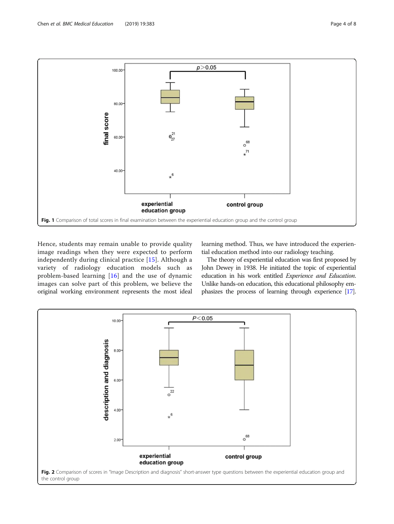<span id="page-3-0"></span>

Hence, students may remain unable to provide quality image readings when they were expected to perform independently during clinical practice [\[15\]](#page-7-0). Although a variety of radiology education models such as problem-based learning [[16](#page-7-0)] and the use of dynamic images can solve part of this problem, we believe the original working environment represents the most ideal

learning method. Thus, we have introduced the experiential education method into our radiology teaching.

The theory of experiential education was first proposed by John Dewey in 1938. He initiated the topic of experiential education in his work entitled Experience and Education. Unlike hands-on education, this educational philosophy emphasizes the process of learning through experience [\[17](#page-7-0)].

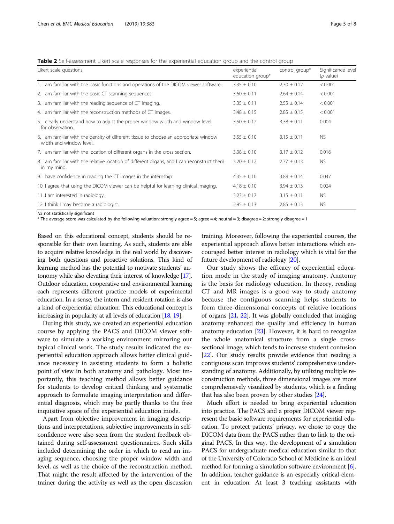<span id="page-4-0"></span>Table 2 Self-assessment Likert scale responses for the experiential education group and the control group

| Likert scale questions                                                                                           | experiential<br>education group* | control group*  | Significance leve<br>$(p$ value) |
|------------------------------------------------------------------------------------------------------------------|----------------------------------|-----------------|----------------------------------|
| 1. I am familiar with the basic functions and operations of the DICOM viewer software.                           | $3.35 \pm 0.10$                  | $2.30 \pm 0.12$ | < 0.001                          |
| 2. I am familiar with the basic CT scanning sequences.                                                           | $3.60 \pm 0.11$                  | $2.64 \pm 0.14$ | < 0.001                          |
| 3. I am familiar with the reading sequence of CT imaging.                                                        | $3.35 \pm 0.11$                  | $2.55 \pm 0.14$ | < 0.001                          |
| 4. I am familiar with the reconstruction methods of CT images.                                                   | $3.48 \pm 0.15$                  | $2.85 \pm 0.15$ | < 0.001                          |
| 5. I clearly understand how to adjust the proper window width and window level<br>for observation.               | $3.50 \pm 0.12$                  | $3.38 \pm 0.11$ | 0.004                            |
| 6. I am familiar with the density of different tissue to choose an appropriate window<br>width and window level. | $3.55 \pm 0.10$                  | $3.15 \pm 0.11$ | NS.                              |
| 7. I am familiar with the location of different organs in the cross section.                                     | $3.38 \pm 0.10$                  | $3.17 \pm 0.12$ | 0.016                            |
| 8. I am familiar with the relative location of different organs, and I can reconstruct them<br>in my mind.       | $3.20 \pm 0.12$                  | $2.77 \pm 0.13$ | NS.                              |
| 9. I have confidence in reading the CT images in the internship.                                                 | $4.35 \pm 0.10$                  | $3.89 \pm 0.14$ | 0.047                            |
| 10. I agree that using the DICOM viewer can be helpful for learning clinical imaging.                            | $4.18 \pm 0.10$                  | $3.94 \pm 0.13$ | 0.024                            |
| 11. I am interested in radiology.                                                                                | $3.23 \pm 0.17$                  | $3.15 \pm 0.11$ | <b>NS</b>                        |
| 12. I think I may become a radiologist.                                                                          | $2.95 \pm 0.13$                  | $2.85 \pm 0.13$ | <b>NS</b>                        |

NS not statistically significant

\* The average score was calculated by the following valuation: strongly agree = 5; agree = 4; neutral = 3; disagree = 2; strongly disagree = 1

Based on this educational concept, students should be responsible for their own learning. As such, students are able to acquire relative knowledge in the real world by discovering both questions and proactive solutions. This kind of learning method has the potential to motivate students' autonomy while also elevating their interest of knowledge [\[17\]](#page-7-0). Outdoor education, cooperative and environmental learning each represents different practice models of experimental education. In a sense, the intern and resident rotation is also a kind of experiential education. This educational concept is increasing in popularity at all levels of education [\[18](#page-7-0), [19](#page-7-0)].

During this study, we created an experiential education course by applying the PACS and DICOM viewer software to simulate a working environment mirroring our typical clinical work. The study results indicated the experiential education approach allows better clinical guidance necessary in assisting students to form a holistic point of view in both anatomy and pathology. Most importantly, this teaching method allows better guidance for students to develop critical thinking and systematic approach to formulate imaging interpretation and differential diagnosis, which may be partly thanks to the free inquisitive space of the experiential education mode.

Apart from objective improvement in imaging descriptions and interpretations, subjective improvements in selfconfidence were also seen from the student feedback obtained during self-assessment questionnaires. Such skills included determining the order in which to read an imaging sequence, choosing the proper window width and level, as well as the choice of the reconstruction method. That might the result affected by the intervention of the trainer during the activity as well as the open discussion training. Moreover, following the experiential courses, the experiential approach allows better interactions which encouraged better interest in radiology which is vital for the future development of radiology [[20](#page-7-0)].

Our study shows the efficacy of experiential education mode in the study of imaging anatomy. Anatomy is the basis for radiology education. In theory, reading CT and MR images is a good way to study anatomy because the contiguous scanning helps students to form three-dimensional concepts of relative locations of organs [[21](#page-7-0), [22](#page-7-0)]. It was globally concluded that imaging anatomy enhanced the quality and efficiency in human anatomy education  $[23]$  $[23]$ . However, it is hard to recognize the whole anatomical structure from a single crosssectional image, which tends to increase student confusion [[22](#page-7-0)]. Our study results provide evidence that reading a contiguous scan improves students' comprehensive understanding of anatomy. Additionally, by utilizing multiple reconstruction methods, three dimensional images are more comprehensively visualized by students, which is a finding that has also been proven by other studies [\[24\]](#page-7-0).

Much effort is needed to bring experiential education into practice. The PACS and a proper DICOM viewer represent the basic software requirements for experiential education. To protect patients' privacy, we chose to copy the DICOM data from the PACS rather than to link to the original PACS. In this way, the development of a simulation PACS for undergraduate medical education similar to that of the University of Colorado School of Medicine is an ideal method for forming a simulation software environment [[6](#page-6-0)]. In addition, teacher guidance is an especially critical element in education. At least 3 teaching assistants with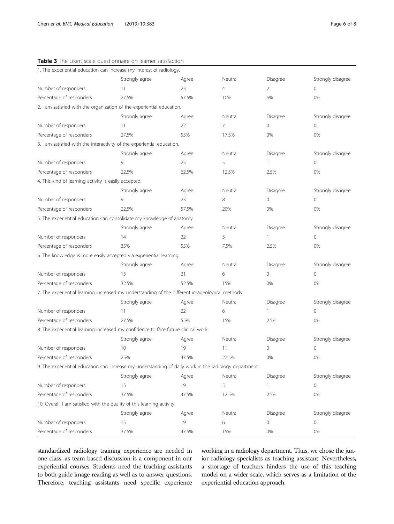| 1. The experiential education can increase my interest of radiology.                                   |                |       |                |              |                   |
|--------------------------------------------------------------------------------------------------------|----------------|-------|----------------|--------------|-------------------|
|                                                                                                        | Strongly agree | Agree | Neutral        | Disagree     | Strongly disagree |
| Number of responders                                                                                   | 11             | 23    | $\overline{4}$ | 2            | 0                 |
| Percentage of responders                                                                               | 27.5%          | 57.5% | 10%            | 5%           | 0%                |
| 2. I am satisfied with the organization of the experiential education.                                 |                |       |                |              |                   |
|                                                                                                        | Strongly agree | Agree | Neutral        | Disagree     | Strongly disagree |
| Number of responders                                                                                   | 11             | 22    | 7              | 0            | 0                 |
| Percentage of responders                                                                               | 27.5%          | 55%   | 17.5%          | 0%           | 0%                |
| 3. I am satisfied with the interactivity of the experiential education.                                |                |       |                |              |                   |
|                                                                                                        | Strongly agree | Agree | Neutral        | Disagree     | Strongly disagree |
| Number of responders                                                                                   | 9              | 25    | 5              | $\mathbf{1}$ | $\mathbf{0}$      |
| Percentage of responders                                                                               | 22.5%          | 62.5% | 12.5%          | 2.5%         | 0%                |
| 4. This kind of learning activity is easily accepted.                                                  |                |       |                |              |                   |
|                                                                                                        | Strongly agree | Agree | Neutral        | Disagree     | Strongly disagree |
| Number of responders                                                                                   | 9              | 23    | 8              | 0            | 0                 |
| Percentage of responders                                                                               | 22.5%          | 57.5% | 20%            | 0%           | 0%                |
| 5. The experiential education can consolidate my knowledge of anatomy.                                 |                |       |                |              |                   |
|                                                                                                        | Strongly agree | Agree | Neutral        | Disagree     | Strongly disagree |
| Number of responders                                                                                   | 14             | 22    | 3              | 1            | 0                 |
| Percentage of responders                                                                               | 35%            | 55%   | 7.5%           | 2.5%         | 0%                |
| 6. The knowledge is more easily accepted via experiential learning.                                    |                |       |                |              |                   |
|                                                                                                        | Strongly agree | Agree | Neutral        | Disagree     | Strongly disagree |
| Number of responders                                                                                   | 13             | 21    | 6              | 0            | $\mathbf{0}$      |
| Percentage of responders                                                                               | 32.5%          | 52.5% | 15%            | 0%           | 0%                |
| 7. The experiential learning increased my understanding of the different imageological methods.        |                |       |                |              |                   |
|                                                                                                        | Strongly agree | Agree | Neutral        | Disagree     | Strongly disagree |
| Number of responders                                                                                   | 11             | 22    | 6              | $\mathbf{1}$ | 0                 |
| Percentage of responders                                                                               | 27.5%          | 55%   | 15%            | 2.5%         | 0%                |
| 8. The experiential learning increased my confidence to face future clinical work.                     |                |       |                |              |                   |
|                                                                                                        | Strongly agree | Agree | Neutral        | Disagree     | Strongly disagree |
| Number of responders                                                                                   | 10             | 19    | 11             | 0            | 0                 |
| Percentage of responders                                                                               | 25%            | 47.5% | 27.5%          | 0%           | 0%                |
| 9. The experiential education can increase my understanding of daily work in the radiology department. |                |       |                |              |                   |
|                                                                                                        | Strongly agree | Agree | Neutral        | Disagree     | Strongly disagree |
| Number of responders                                                                                   | 15             | 19    | 5              | 1.           | 0                 |
| Percentage of responders                                                                               | 37.5%          | 47.5% | 12.5%          | 2.5%         | 0%                |
| 10. Overall, I am satisfied with the quality of this learning activity.                                |                |       |                |              |                   |
|                                                                                                        | Strongly agree | Agree | Neutral        | Disagree     | Strongly disagree |
| Number of responders                                                                                   | 15             | 19    | 6              | 0            | 0                 |

Percentage of responders 37.5% 17.5% 15% 15% 0% 0% 0% 0%

# <span id="page-5-0"></span>Table 3 The Likert scale questionnaire on learner satisfaction

standardized radiology training experience are needed in one class, as team-based discussion is a component in our experiential courses. Students need the teaching assistants to both guide image reading as well as to answer questions. Therefore, teaching assistants need specific experience working in a radiology department. Thus, we chose the junior radiology specialists as teaching assistant. Nevertheless, a shortage of teachers hinders the use of this teaching model on a wider scale, which serves as a limitation of the experiential education approach.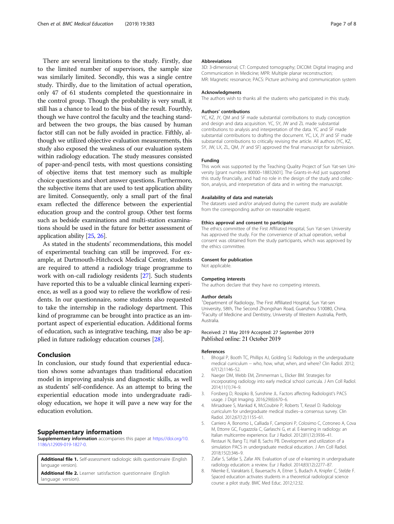<span id="page-6-0"></span>There are several limitations to the study. Firstly, due to the limited number of supervisors, the sample size was similarly limited. Secondly, this was a single centre study. Thirdly, due to the limitation of actual operation, only 47 of 61 students completed the questionnaire in the control group. Though the probability is very small, it still has a chance to lead to the bias of the result. Fourthly, though we have control the faculty and the teaching standard between the two groups, the bias caused by human factor still can not be fully avoided in practice. Fifthly, although we utilized objective evaluation measurements, this study also exposed the weakness of our evaluation system within radiology education. The study measures consisted of paper-and-pencil tests, with most questions consisting of objective items that test memory such as multiple choice questions and short answer questions. Furthermore, the subjective items that are used to test application ability are limited. Consequently, only a small part of the final exam reflected the difference between the experiential education group and the control group. Other test forms such as bedside examinations and multi-station examinations should be used in the future for better assessment of application ability [[25](#page-7-0), [26](#page-7-0)].

As stated in the students' recommendations, this model of experimental teaching can still be improved. For example, at Dartmouth-Hitchcock Medical Center, students are required to attend a radiology triage programme to work with on-call radiology residents [\[27\]](#page-7-0). Such students have reported this to be a valuable clinical learning experience, as well as a good way to relieve the workflow of residents. In our questionnaire, some students also requested to take the internship in the radiology department. This kind of programme can be brought into practice as an important aspect of experiential education. Additional forms of education, such as integrative teaching, may also be applied in future radiology education courses [\[28\]](#page-7-0).

# Conclusion

In conclusion, our study found that experiential education shows some advantages than traditional education model in improving analysis and diagnostic skills, as well as students' self-confidence. As an attempt to bring the experiential education mode into undergraduate radiology education, we hope it will pave a new way for the education evolution.

# Supplementary information

Supplementary information accompanies this paper at [https://doi.org/10.](https://doi.org/10.1186/s12909-019-1827-0) [1186/s12909-019-1827-0.](https://doi.org/10.1186/s12909-019-1827-0)

Additional file 1. Self-assessment radiologic skills questionnaire (English language version).

Additional file 2. Learner satisfaction questionnaire (English language version).

#### Abbreviations

3D: 3-dimensional; CT: Computed tomography; DICOM: Digital Imaging and Communication in Medicine; MPR: Multiple planar reconstruction; MR: Magnetic resonance; PACS: Picture archiving and communication system

#### Acknowledgments

The authors wish to thanks all the students who participated in this study.

#### Authors' contributions

YC, KZ, JY, QM and SF made substantial contributions to study conception and design and data acquisition. YC, SY, JW and ZL made substantial contributions to analysis and interpretation of the data. YC and SF made substantial contributions to drafting the document. YC, LX, JY and SF made substantial contributions to critically revising the article. All authors (YC, KZ, SY, JW, LX, ZL, QM, JY and SF) approved the final manuscript for submission.

#### Funding

This work was supported by the Teaching Quality Project of Sun Yat-sen University [grant numbers 80000–18832601]. The Grants-in-Aid just supported this study financially, and had no role in the design of the study and collection, analysis, and interpretation of data and in writing the manuscript.

#### Availability of data and materials

The datasets used and/or analysed during the current study are available from the corresponding author on reasonable request.

#### Ethics approval and consent to participate

The ethics committee of the First Affiliated Hospital, Sun Yat-sen University has approved the study. For the convenience of actual operation, verbal consent was obtained from the study participants, which was approved by the ethics committee.

## Consent for publication

Not applicable.

### Competing interests

The authors declare that they have no competing interests.

#### Author details

<sup>1</sup>Department of Radiology, The First Affiliated Hospital, Sun Yat-sen University, 58th, The Second Zhongshan Road, Guanzhou 510080, China. <sup>2</sup> Faculty of Medicine and Dentistry, University of Western Australia, Perth Australia.

### Received: 21 May 2019 Accepted: 27 September 2019 Published online: 21 October 2019

#### References

- 1. Bhogal P, Booth TC, Phillips AJ, Golding SJ. Radiology in the undergraduate medical curriculum -- who, how, what, when, and where? Clin Radiol. 2012; 67(12):1146–52.
- 2. Naeger DM, Webb EM, Zimmerman L, Elicker BM. Strategies for incorporating radiology into early medical school curricula. J Am Coll Radiol. 2014;11(1):74–9.
- 3. Forsberg D, Rosipko B, Sunshine JL. Factors affecting Radiologist's PACS usage. J Digit Imaging. 2016;29(6):670–6.
- 4. Mirsadraee S, Mankad K, McCoubrie P, Roberts T, Kessel D. Radiology curriculum for undergraduate medical studies--a consensus survey. Clin Radiol. 2012;67(12):1155–61.
- 5. Carriero A, Bonomo L, Calliada F, Campioni P, Colosimo C, Cotroneo A, Cova M, Ettorre GC, Fugazzola C, Garlaschi G, et al. E-learning in radiology: an Italian multicentre experience. Eur J Radiol. 2012;81(12):3936–41.
- 6. Restauri N, Bang TJ, Hall B, Sachs PB. Development and utilization of a simulation PACS in undergraduate medical education. J Am Coll Radiol. 2018;15(2):346–9.
- 7. Zafar S, Safdar S, Zafar AN. Evaluation of use of e-learning in undergraduate radiology education: a review. Eur J Radiol. 2014;83(12):2277–87.
- 8. Nkenke E, Vairaktaris E, Bauersachs A, Eitner S, Budach A, Knipfer C, Stelzle F. Spaced education activates students in a theoretical radiological science course: a pilot study. BMC Med Educ. 2012;12:32.